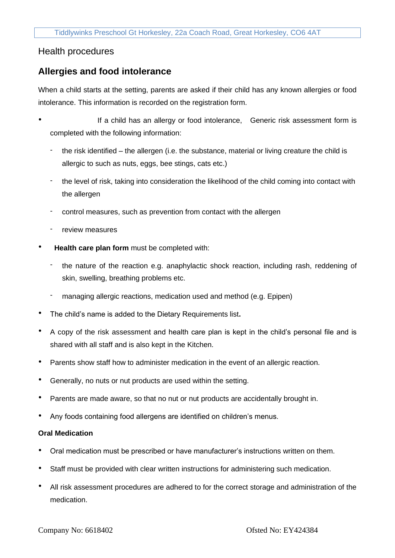## Health procedures

## **Allergies and food intolerance**

When a child starts at the setting, parents are asked if their child has any known allergies or food intolerance. This information is recorded on the registration form.

- If a child has an allergy or food intolerance, Generic risk assessment form is completed with the following information:
	- the risk identified the allergen (i.e. the substance, material or living creature the child is allergic to such as nuts, eggs, bee stings, cats etc.)
	- the level of risk, taking into consideration the likelihood of the child coming into contact with the allergen
	- control measures, such as prevention from contact with the allergen
	- review measures
- **Health care plan form** must be completed with:
	- the nature of the reaction e.g. anaphylactic shock reaction, including rash, reddening of skin, swelling, breathing problems etc.
	- managing allergic reactions, medication used and method (e.g. Epipen)
- The child's name is added to the Dietary Requirements list**.**
- A copy of the risk assessment and health care plan is kept in the child's personal file and is shared with all staff and is also kept in the Kitchen.
- Parents show staff how to administer medication in the event of an allergic reaction.
- Generally, no nuts or nut products are used within the setting.
- Parents are made aware, so that no nut or nut products are accidentally brought in.
- Any foods containing food allergens are identified on children's menus.

## **Oral Medication**

- Oral medication must be prescribed or have manufacturer's instructions written on them.
- Staff must be provided with clear written instructions for administering such medication.
- All risk assessment procedures are adhered to for the correct storage and administration of the medication.